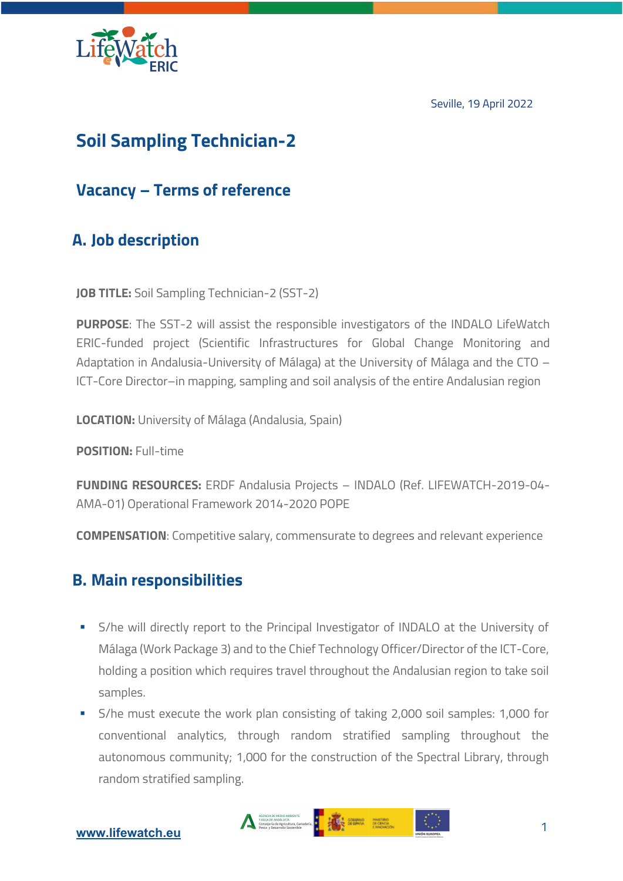Seville, 19 April 2022



# **Soil Sampling Technician-2**

# **Vacancy – Terms of reference**

# **A. Job description**

**JOB TITLE:** Soil Sampling Technician-2 (SST-2)

**PURPOSE**: The SST-2 will assist the responsible investigators of the INDALO LifeWatch ERIC-funded project (Scientific Infrastructures for Global Change Monitoring and Adaptation in Andalusia-University of Málaga) at the University of Málaga and the CTO – ICT-Core Director–in mapping, sampling and soil analysis of the entire Andalusian region

**LOCATION:** University of Málaga (Andalusia, Spain)

**POSITION:** Full-time

**FUNDING RESOURCES:** ERDF Andalusia Projects – INDALO (Ref. LIFEWATCH-2019-04- AMA-01) Operational Framework 2014-2020 POPE

**COMPENSATION**: Competitive salary, commensurate to degrees and relevant experience

### **B. Main responsibilities**

- **•** S/he will directly report to the Principal Investigator of INDALO at the University of Málaga (Work Package 3) and to the Chief Technology Officer/Director of the ICT-Core, holding a position which requires travel throughout the Andalusian region to take soil samples.
- § S/he must execute the work plan consisting of taking 2,000 soil samples: 1,000 for conventional analytics, through random stratified sampling throughout the autonomous community; 1,000 for the construction of the Spectral Library, through random stratified sampling.

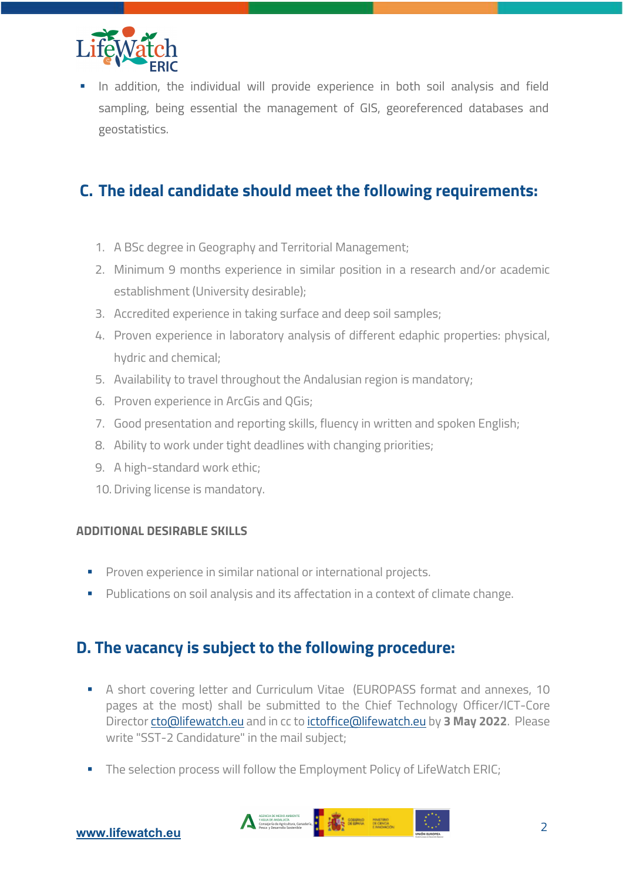

In addition, the individual will provide experience in both soil analysis and field sampling, being essential the management of GIS, georeferenced databases and geostatistics.

# **C. The ideal candidate should meet the following requirements:**

- 1. A BSc degree in Geography and Territorial Management;
- 2. Minimum 9 months experience in similar position in a research and/or academic establishment (University desirable);
- 3. Accredited experience in taking surface and deep soil samples;
- 4. Proven experience in laboratory analysis of different edaphic properties: physical, hydric and chemical;
- 5. Availability to travel throughout the Andalusian region is mandatory;
- 6. Proven experience in ArcGis and QGis;
- 7. Good presentation and reporting skills, fluency in written and spoken English;
- 8. Ability to work under tight deadlines with changing priorities;
- 9. A high-standard work ethic;
- 10. Driving license is mandatory.

#### **ADDITIONAL DESIRABLE SKILLS**

- § Proven experience in similar national or international projects.
- **•** Publications on soil analysis and its affectation in a context of climate change.

# **D. The vacancy is subject to the following procedure:**

- § A short covering letter and Curriculum Vitae (EUROPASS format and annexes, 10 pages at the most) shall be submitted to the Chief Technology Officer/ICT-Core Director cto@lifewatch.eu and in cc to ictoffice@lifewatch.eu by **3 May 2022**. Please write "SST-2 Candidature" in the mail subject;
- The selection process will follow the Employment Policy of LifeWatch ERIC;